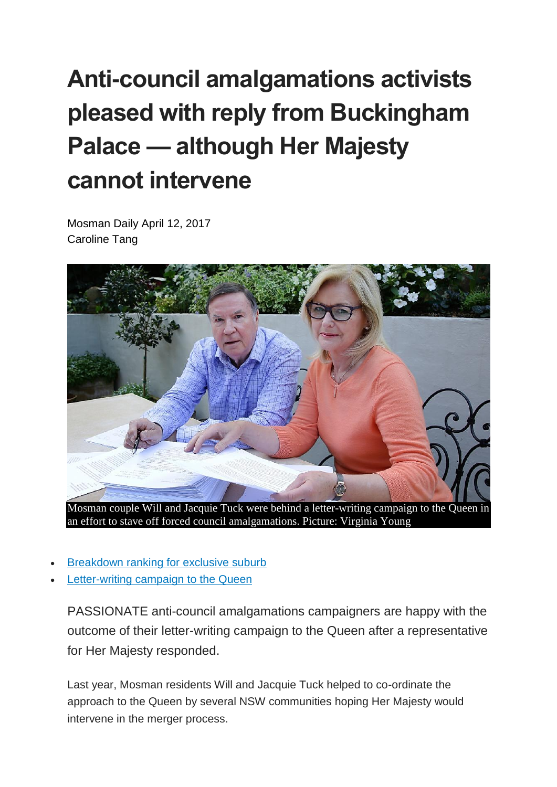## **Anti-council amalgamations activists pleased with reply from Buckingham Palace — although Her Majesty cannot intervene**

Mosman Daily April 12, 2017 Caroline Tang



Mosman couple Will and Jacquie Tuck were behind a letter-writing campaign to the Queen in an effort to stave off forced council amalgamations. Picture: Virginia Young

- [Breakdown](http://www.dailytelegraph.com.au/newslocal/mosman-daily/mosman-is-the-eighth-worst-location-for-nrma-customers-to-breakdown-in-nsw/news-story/1df79d669b0259d1eef938202fc4fd7a) ranking for exclusive suburb
- [Letter-writing](http://www.dailytelegraph.com.au/newslocal/mosman-daily/a-letterwriting-campaign-to-the-queen-against-forced-council-mergers-has-gone-statewide/news-story/5e9fb286d01b4b8d9882d576b848ef34) campaign to the Queen

PASSIONATE anti-council amalgamations campaigners are happy with the outcome of their letter-writing campaign to the Queen after a representative for Her Majesty responded.

Last year, Mosman residents Will and Jacquie Tuck helped to co-ordinate the approach to the Queen by several NSW communities hoping Her Majesty would intervene in the merger process.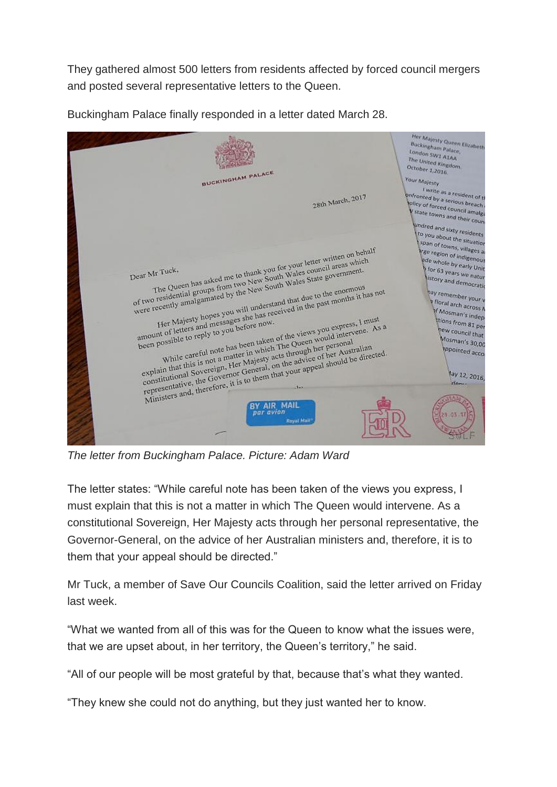They gathered almost 500 letters from residents affected by forced council mergers and posted several representative letters to the Queen.



Buckingham Palace finally responded in a letter dated March 28.

*The letter from Buckingham Palace. Picture: Adam Ward*

The letter states: "While careful note has been taken of the views you express, I must explain that this is not a matter in which The Queen would intervene. As a constitutional Sovereign, Her Majesty acts through her personal representative, the Governor-General, on the advice of her Australian ministers and, therefore, it is to them that your appeal should be directed."

Mr Tuck, a member of Save Our Councils Coalition, said the letter arrived on Friday last week.

"What we wanted from all of this was for the Queen to know what the issues were, that we are upset about, in her territory, the Queen"s territory," he said.

"All of our people will be most grateful by that, because that"s what they wanted.

"They knew she could not do anything, but they just wanted her to know.